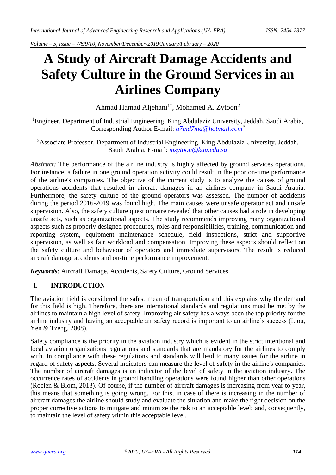*Volume – 5, Issue – 7/8/9/10, November/December-2019/January/February – 2020*

# **A Study of Aircraft Damage Accidents and Safety Culture in the Ground Services in an Airlines Company**

Ahmad Hamad Aljehani<sup>1\*</sup>, Mohamed A. Zytoon<sup>2</sup>

<sup>1</sup>Engineer, Department of Industrial Engineering, King Abdulaziz University, Jeddah, Saudi Arabia, Corresponding Author E-mail: *[a7md7md@hotmail.com](mailto:a7md7md@hotmail.com)\**

<sup>2</sup>Associate Professor, Department of Industrial Engineering, King Abdulaziz University, Jeddah, Saudi Arabia, E-mail: *mzytoon@kau.edu.sa*

*Abstract*: The performance of the airline industry is highly affected by ground services operations. For instance, a failure in one ground operation activity could result in the poor on-time performance of the airline's companies. The objective of the current study is to analyze the causes of ground operations accidents that resulted in aircraft damages in an airlines company in Saudi Arabia. Furthermore, the safety culture of the ground operators was assessed. The number of accidents during the period 2016-2019 was found high. The main causes were unsafe operator act and unsafe supervision. Also, the safety culture questionnaire revealed that other causes had a role in developing unsafe acts, such as organizational aspects. The study recommends improving many organizational aspects such as properly designed procedures, roles and responsibilities, training, communication and reporting system, equipment maintenance schedule, field inspections, strict and supportive supervision, as well as fair workload and compensation. Improving these aspects should reflect on the safety culture and behaviour of operators and immediate supervisors. The result is reduced aircraft damage accidents and on-time performance improvement.

*Keywords*: Aircraft Damage, Accidents, Safety Culture, Ground Services.

# **I. INTRODUCTION**

The aviation field is considered the safest mean of transportation and this explains why the demand for this field is high. Therefore, there are international standards and regulations must be met by the airlines to maintain a high level of safety. Improving air safety has always been the top priority for the airline industry and having an acceptable air safety record is important to an airline's success (Liou, Yen & Tzeng, 2008).

Safety compliance is the priority in the aviation industry which is evident in the strict intentional and local aviation organizations regulations and standards that are mandatory for the airlines to comply with. In compliance with these regulations and standards will lead to many issues for the airline in regard of safety aspects. Several indicators can measure the level of safety in the airline's companies. The number of aircraft damages is an indicator of the level of safety in the aviation industry. The occurrence rates of accidents in ground handling operations were found higher than other operations (Roelen & Blom, 2013). Of course, if the number of aircraft damages is increasing from year to year, this means that something is going wrong. For this, in case of there is increasing in the number of aircraft damages the airline should study and evaluate the situation and make the right decision on the proper corrective actions to mitigate and minimize the risk to an acceptable level; and, consequently, to maintain the level of safety within this acceptable level.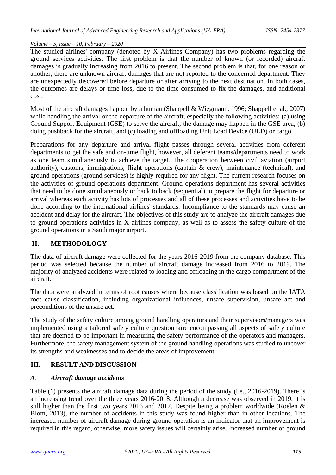The studied airlines' company (denoted by X Airlines Company) has two problems regarding the ground services activities. The first problem is that the number of known (or recorded) aircraft damages is gradually increasing from 2016 to present. The second problem is that, for one reason or another, there are unknown aircraft damages that are not reported to the concerned department. They are unexpectedly discovered before departure or after arriving to the next destination. In both cases, the outcomes are delays or time loss, due to the time consumed to fix the damages, and additional cost.

Most of the aircraft damages happen by a human (Shappell & Wiegmann, 1996; Shappell et al., 2007) while handling the arrival or the departure of the aircraft, especially the following activities: (a) using Ground Support Equipment (GSE) to serve the aircraft, the damage may happen in the GSE area, (b) doing pushback for the aircraft, and (c) loading and offloading Unit Load Device (ULD) or cargo.

Preparations for any departure and arrival flight passes through several activities from deferent departments to get the safe and on-time flight, however, all deferent teams/departments need to work as one team simultaneously to achieve the target. The cooperation between civil aviation (airport authority), customs, immigrations, flight operations (captain  $\&$  crew), maintenance (technical), and ground operations (ground services) is highly required for any flight. The current research focuses on the activities of ground operations department. Ground operations department has several activities that need to be done simultaneously or back to back (sequential) to prepare the flight for departure or arrival whereas each activity has lots of processes and all of these processes and activities have to be done according to the international airlines' standards. Incompliance to the standards may cause an accident and delay for the aircraft. The objectives of this study are to analyze the aircraft damages due to ground operations activities in X airlines company, as well as to assess the safety culture of the ground operations in a Saudi major airport.

# **II. METHODOLOGY**

The data of aircraft damage were collected for the years 2016-2019 from the company database. This period was selected because the number of aircraft damage increased from 2016 to 2019. The majority of analyzed accidents were related to loading and offloading in the cargo compartment of the aircraft.

The data were analyzed in terms of root causes where because classification was based on the IATA root cause classification, including organizational influences, unsafe supervision, unsafe act and preconditions of the unsafe act.

The study of the safety culture among ground handling operators and their supervisors/managers was implemented using a tailored safety culture questionnaire encompassing all aspects of safety culture that are deemed to be important in measuring the safety performance of the operators and managers. Furthermore, the safety management system of the ground handling operations was studied to uncover its strengths and weaknesses and to decide the areas of improvement.

# **III. RESULT AND DISCUSSION**

# *A. Aircraft damage accidents*

Table (1) presents the aircraft damage data during the period of the study (i.e., 2016-2019). There is an increasing trend over the three years 2016-2018. Although a decrease was observed in 2019, it is still higher than the first two years 2016 and 2017. Despite being a problem worldwide (Roelen & Blom, 2013), the number of accidents in this study was found higher than in other locations. The increased number of aircraft damage during ground operation is an indicator that an improvement is required in this regard, otherwise, more safety issues will certainly arise. Increased number of ground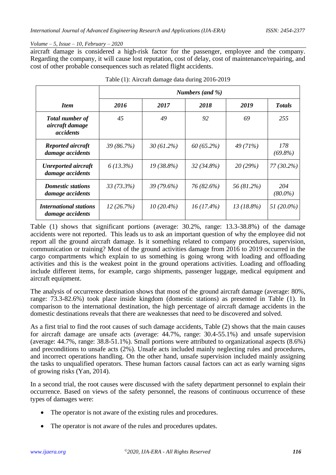aircraft damage is considered a high-risk factor for the passenger, employee and the company. Regarding the company, it will cause lost reputation, cost of delay, cost of maintenance/repairing, and cost of other probable consequences such as related flight accidents.

|                                                        | Numbers (and %) |              |              |              |                   |  |  |  |
|--------------------------------------------------------|-----------------|--------------|--------------|--------------|-------------------|--|--|--|
| <b>Item</b>                                            | 2016            | 2017         | 2018         | 2019         | <b>Totals</b>     |  |  |  |
| <b>Total number of</b><br>aircraft damage<br>accidents | 45              | 49           | 92           | 69           | 255               |  |  |  |
| Reported aircraft<br>damage accidents                  | 39(86.7%)       | $30(61.2\%)$ | 60(65.2%)    | 49(71%)      | 178<br>$(69.8\%)$ |  |  |  |
| <b>Unreported aircraft</b><br>damage accidents         | $6(13.3\%)$     | $19(38.8\%)$ | $32(34.8\%)$ | 20(29%)      | 77 (30.2%)        |  |  |  |
| <b>Domestic stations</b><br>damage accidents           | $33(73.3\%)$    | $39(79.6\%)$ | 76 (82.6%)   | 56 (81.2%)   | 204<br>$(80.0\%)$ |  |  |  |
| <b>International stations</b><br>damage accidents      | 12(26.7%)       | $10(20.4\%)$ | $16(17.4\%)$ | $13(18.8\%)$ | 51 (20.0%)        |  |  |  |

Table (1) shows that significant portions (average: 30.2%, range: 13.3-38.8%) of the damage accidents were not reported. This leads us to ask an important question of why the employee did not report all the ground aircraft damage. Is it something related to company procedures, supervision, communication or training? Most of the ground activities damage from 2016 to 2019 occurred in the cargo compartments which explain to us something is going wrong with loading and offloading activities and this is the weakest point in the ground operations activities. Loading and offloading include different items, for example, cargo shipments, passenger luggage, medical equipment and aircraft equipment.

The analysis of occurrence destination shows that most of the ground aircraft damage (average: 80%, range: 73.3-82.6%) took place inside kingdom (domestic stations) as presented in Table (1). In comparison to the international destination, the high percentage of aircraft damage accidents in the domestic destinations reveals that there are weaknesses that need to be discovered and solved.

As a first trial to find the root causes of such damage accidents, Table (2) shows that the main causes for aircraft damage are unsafe acts (average: 44.7%, range: 30.4-55.1%) and unsafe supervision (average: 44.7%, range: 38.8-51.1%). Small portions were attributed to organizational aspects (8.6%) and preconditions to unsafe acts (2%). Unsafe acts included mainly neglecting rules and procedures, and incorrect operations handling. On the other hand, unsafe supervision included mainly assigning the tasks to unqualified operators. These human factors causal factors can act as early warning signs of growing risks (Yan, 2014).

In a second trial, the root causes were discussed with the safety department personnel to explain their occurrence. Based on views of the safety personnel, the reasons of continuous occurrence of these types of damages were:

- The operator is not aware of the existing rules and procedures.
- The operator is not aware of the rules and procedures updates.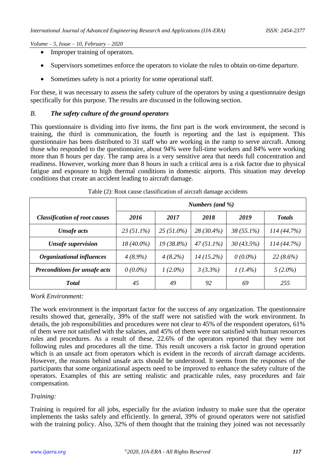- Improper training of operators.
- Supervisors sometimes enforce the operators to violate the rules to obtain on-time departure.
- Sometimes safety is not a priority for some operational staff.

For these, it was necessary to assess the safety culture of the operators by using a questionnaire design specifically for this purpose. The results are discussed in the following section.

#### *B. The safety culture of the ground operators*

This questionnaire is dividing into five items, the first part is the work environment, the second is training, the third is communication, the fourth is reporting and the last is equipment. This questionnaire has been distributed to 31 staff who are working in the ramp to serve aircraft. Among those who responded to the questionnaire, about 94% were full-time workers and 84% were working more than 8 hours per day. The ramp area is a very sensitive area that needs full concentration and readiness. However, working more than 8 hours in such a critical area is a risk factor due to physical fatigue and exposure to high thermal conditions in domestic airports. This situation may develop conditions that create an accident leading to aircraft damage.

|                                      | Numbers (and %) |              |              |              |               |  |  |
|--------------------------------------|-----------------|--------------|--------------|--------------|---------------|--|--|
| <b>Classification of root causes</b> | 2016            | 2017         | 2018         | 2019         | <b>Totals</b> |  |  |
| Unsafe acts                          | $23(51.1\%)$    | $25(51.0\%)$ | $28(30.4\%)$ | $38(55.1\%)$ | 114(44.7%)    |  |  |
| <b>Unsafe supervision</b>            | $18(40.0\%)$    | 19 (38.8%)   | $47(51.1\%)$ | 30(43.5%)    | 114(44.7%)    |  |  |
| <b>Organizational influences</b>     | $4(8.9\%)$      | $4(8.2\%)$   | $14(15.2\%)$ | $0(0.0\%)$   | $22(8.6\%)$   |  |  |
| <b>Preconditions for unsafe acts</b> | $0(0.0\%)$      | $1(2.0\%)$   | 3(3.3%)      | $1(1.4\%)$   | $5(2.0\%)$    |  |  |
| <b>T</b> otal                        | 45              | 49           | 92           | 69           | 255           |  |  |

Table (2): Root cause classification of aircraft damage accidents

*Work Environment:*

The work environment is the important factor for the success of any organization. The questionnaire results showed that, generally, 39% of the staff were not satisfied with the work environment. In details, the job responsibilities and procedures were not clear to 45% of the respondent operators, 61% of them were not satisfied with the salaries, and 45% of them were not satisfied with human resources rules and procedures. As a result of these, 22.6% of the operators reported that they were not following rules and procedures all the time. This result uncovers a risk factor in ground operation which is an unsafe act from operators which is evident in the records of aircraft damage accidents. However, the reasons behind unsafe acts should be understood. It seems from the responses of the participants that some organizational aspects need to be improved to enhance the safety culture of the operators. Examples of this are setting realistic and practicable rules, easy procedures and fair compensation.

## *Training:*

Training is required for all jobs, especially for the aviation industry to make sure that the operator implements the tasks safely and efficiently. In general, 39% of ground operators were not satisfied with the training policy. Also, 32% of them thought that the training they joined was not necessarily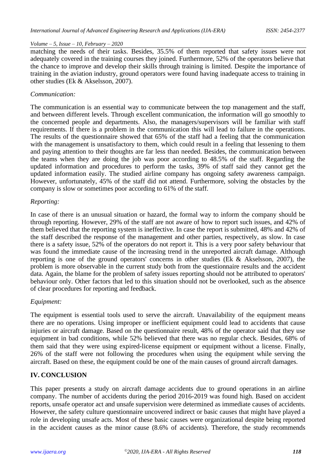matching the needs of their tasks. Besides, 35.5% of them reported that safety issues were not adequately covered in the training courses they joined. Furthermore, 52% of the operators believe that the chance to improve and develop their skills through training is limited. Despite the importance of training in the aviation industry, ground operators were found having inadequate access to training in other studies (Ek & Akselsson, 2007).

## *Communication:*

The communication is an essential way to communicate between the top management and the staff, and between different levels. Through excellent communication, the information will go smoothly to the concerned people and departments. Also, the managers/supervisors will be familiar with staff requirements. If there is a problem in the communication this will lead to failure in the operations. The results of the questionnaire showed that 65% of the staff had a feeling that the communication with the management is unsatisfactory to them, which could result in a feeling that lessening to them and paying attention to their thoughts are far less than needed. Besides, the communication between the teams when they are doing the job was poor according to 48.5% of the staff. Regarding the updated information and procedures to perform the tasks, 39% of staff said they cannot get the updated information easily. The studied airline company has ongoing safety awareness campaign. However, unfortunately, 45% of the staff did not attend. Furthermore, solving the obstacles by the company is slow or sometimes poor according to 61% of the staff.

## *Reporting:*

In case of there is an unusual situation or hazard, the formal way to inform the company should be through reporting. However, 29% of the staff are not aware of how to report such issues, and 42% of them believed that the reporting system is ineffective. In case the report is submitted, 48% and 42% of the staff described the response of the management and other parties, respectively, as slow. In case there is a safety issue, 52% of the operators do not report it. This is a very poor safety behaviour that was found the immediate cause of the increasing trend in the unreported aircraft damage. Although reporting is one of the ground operators' concerns in other studies (Ek & Akselsson, 2007), the problem is more observable in the current study both from the questionnaire results and the accident data. Again, the blame for the problem of safety issues reporting should not be attributed to operators' behaviour only. Other factors that led to this situation should not be overlooked, such as the absence of clear procedures for reporting and feedback.

## *Equipment:*

The equipment is essential tools used to serve the aircraft. Unavailability of the equipment means there are no operations. Using improper or inefficient equipment could lead to accidents that cause injuries or aircraft damage. Based on the questionnaire result, 48% of the operator said that they use equipment in bad conditions, while 52% believed that there was no regular check. Besides, 68% of them said that they were using expired-license equipment or equipment without a license. Finally, 26% of the staff were not following the procedures when using the equipment while serving the aircraft. Based on these, the equipment could be one of the main causes of ground aircraft damages.

# **IV. CONCLUSION**

This paper presents a study on aircraft damage accidents due to ground operations in an airline company. The number of accidents during the period 2016-2019 was found high. Based on accident reports, unsafe operator act and unsafe supervision were determined as immediate causes of accidents. However, the safety culture questionnaire uncovered indirect or basic causes that might have played a role in developing unsafe acts. Most of these basic causes were organizational despite being reported in the accident causes as the minor cause (8.6% of accidents). Therefore, the study recommends